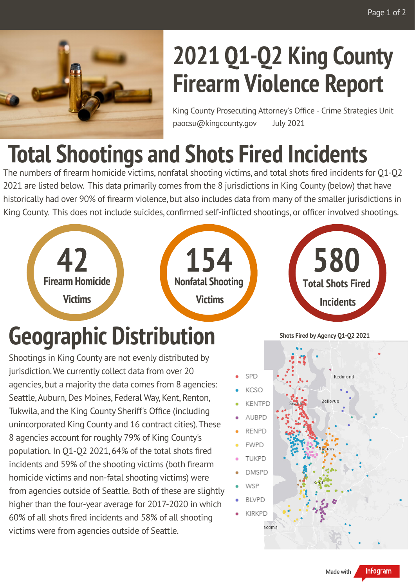

## **2021 Q1-Q2 King County Firearm Violence Report**

King County Prosecuting Attorney's Office - Crime Strategies Unit paocsu@kingcounty.gov July 2021

## **Total Shootings and Shots Fired Incidents**

The numbers of firearm homicide victims, nonfatal shooting victims, and total shots fired incidents for Q1-Q2 2021 are listed below. This data primarily comes from the 8 jurisdictions in King County (below) that have historically had over 90% of firearm violence, but also includes data from many of the smaller jurisdictions in King County. This does not include suicides, confirmed self-inflicted shootings, or officer involved shootings.



Shootings in King County are not evenly distributed by jurisdiction. We currently collect data from over 20 agencies, but a majority the data comes from 8 agencies: Seattle, Auburn, Des Moines, Federal Way, Kent, Renton, Tukwila, and the King County Sheriff's Office (including unincorporated King County and 16 contract cities).These 8 agencies account for roughly 79% of King County's population. In Q1-Q2 2021, 64% of the total shots fired incidents and 59% of the shooting victims (both firearm homicide victims and non-fatal shooting victims) were from agencies outside of Seattle. Both of these are slightly higher than the four-year average for 2017-2020 in which 60% of all shots fired incidents and 58% of all shooting victims were from agencies outside of Seattle.